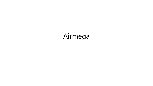# Airmega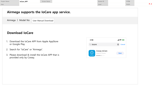| <b>Project Name</b> | loCare_APP | Screen Name | Screen ID | 수정일 |   |
|---------------------|------------|-------------|-----------|-----|---|
| Path                |            |             | Level     | 작성자 | . |
|                     |            |             |           |     |   |

#### **Airmega supports the IoCare app service.**

Airmega | Model No | User Manual Download

#### **Download IoCare**

- 1. Download the IoCare APP from Apple AppStore or Google Play.
- 2. Search for "IoCare" or "Airmega".
- 3. Please download & install the IoCare APP that is provided only by Coway.

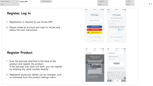| Project Name | loCare_APP | Screen Name | Screen ID | 수정일 |       |
|--------------|------------|-------------|-----------|-----|-------|
| Path         |            |             | Level     | 작성자 | . . J |

## **Register, Log In**

- 1. Registration is required to use IoCare APP.
- 2. Please create an account and login to IoCare and follow the next instructions.

#### **Register Product**

- 1. Scan the barcode attached to the back of the product and register the product. If the barcode scan does not work, you can register by entering the serial number directly.
- 2. Registered product(s) details can be changed, such as nickname from the product settings menu.



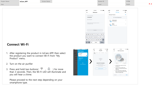| Project Name | loCare_APP | Screen Name | Screen ID | 수정일 |  |
|--------------|------------|-------------|-----------|-----|--|
| Path         |            |             | Level     | 작성자 |  |
|              |            |             |           |     |  |



#### **Connect Wi-Fi**

- 1. After registering the product in IoCare APP, then select the product you want to connect Wi-Fi from "My Product" menu.
- 2. Turn on the air purifier
- 3. Press and hold two buttons( $\widehat{\mathcal{F}}$ ,  $\widehat{\mathcal{F}}$ ) for more than 3 seconds. Then, the Wi-Fi LED will illuminate and you will hear a chime.

Please proceed to the next step depending on your smartphone type.

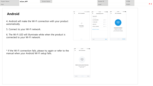| 작성자<br>Path<br>Level | Project Name | loCare_APP | Screen Name | Screen ID | 수정일 |       |
|----------------------|--------------|------------|-------------|-----------|-----|-------|
|                      |              |            |             |           |     | . . J |

#### **Android**

- 4. Android will make the Wi-Fi connection with your product automatically.
- 5. Connect to your Wi-Fi network.
- 6. The Wi-Fi LED will illuminate white when the product is connected to your Wi-Fi network.

| <b>SKT</b>   | $\overline{\mathbf{v}}$ $\overline{d}$ = 12:30                                                  | 副堂             | 9:41 AM               | <b>* 100%</b> | 副堂           | 9:41 AM                                                                                             | <b>\$100%</b> |
|--------------|-------------------------------------------------------------------------------------------------|----------------|-----------------------|---------------|--------------|-----------------------------------------------------------------------------------------------------|---------------|
| $\leftarrow$ | <b>Wi-Fi Connection</b>                                                                         | $\leftarrow$   | Connecting to Wi-Fi   |               | $\leftarrow$ | <b>Wi-Fi Connection</b>                                                                             |               |
|              |                                                                                                 | Check Wi-Fi    |                       |               |              |                                                                                                     |               |
|              |                                                                                                 | Select network |                       |               |              |                                                                                                     |               |
|              |                                                                                                 |                | SK_WiFiGIGA0000       | △ 拿 ∨         |              |                                                                                                     |               |
|              |                                                                                                 |                | KT_GiGA_0001          | $A \otimes v$ |              | ଚି                                                                                                  |               |
|              |                                                                                                 | iptime-print   |                       | △ 《 ∨         |              |                                                                                                     |               |
|              | Connecting<br>Airmega 400S                                                                      |                | WiFi_5G_12345678      | A デ v         |              |                                                                                                     |               |
|              |                                                                                                 |                |                       |               |              | <b>Connection Completed</b>                                                                         |               |
|              |                                                                                                 |                | Setting Wi-Fi network |               |              | After the "chime" sound.<br>The Wi-Fi LED will be lit up white<br>and your connection is completed. |               |
|              |                                                                                                 |                |                       |               |              |                                                                                                     |               |
|              |                                                                                                 |                |                       |               |              |                                                                                                     |               |
|              |                                                                                                 |                |                       |               |              |                                                                                                     |               |
|              | $\begin{array}{cccccccccccccc} 0 & \bullet & \bullet & \bullet & \bullet & \bullet \end{array}$ | Back           |                       | <b>Next</b>   |              | 0.0.0.0                                                                                             | Confirm       |

\* If the Wi-Fi connection fails, please try again or refer to the manual when your Android Wi-Fi setup fails.

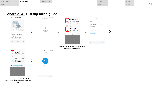| Project Name | loCare_APP | Screen Name | Screen ID | 수정일 |      |
|--------------|------------|-------------|-----------|-----|------|
| Path         |            |             | Level     | 작성자 | r. u |
|              |            |             |           |     |      |

## **Android Wi-Fi setup failed guide**

9:41 AM

Wi-Fi Connection

ふ

**Connection Completed** After the "chime" sound, The Wi-Fi LED will be lit up white and your connection is completed.

 $\alpha$  ,  $\alpha$  ,  $\alpha$ 

Confirm

**100%** 





 $*100%$ 

 $\mathrel{\mathop{\scriptstyle\bigtriangleup}}$   $\mathrel{\widehat{\phantom{F}}}\mathrel{\widehat{\phantom{F}}\mathrel{\widehat{\phantom{F}}\mathrel{\widehat{\phantom{F}}\mathrel{\widehat{\phantom{F}}\mathrel{\widehat{\phantom{F}}\mathrel{\widehat{\phantom{F}}\mathrel{\widehat{\phantom{F}}\mathrel{\widehat{\phantom{F}}\mathrel{\widehat{\phantom{F}}\mathrel{\widehat{\phantom{F}}\mathrel{\widehat{\phantom{F}}\mathrel{\widehat{\phantom{F}}\mathrel{\widehat{\phantom{F}}\mathrel{\widehat{\phantom{F}}\mathrel{\widehat{\phantom{F}}\mathrel{\widehat{\phantom{F$ 

 $A \otimes 1$ 

 $\mathrel{\triangle} \mathrel{\widehat{\mathcal{F}}} \ \mathrel{\mathop{\scriptstyle\vee}}$ 

**Next** 

**Please set Wi-Fi on and turn data off during connection.**



**After paring router to the Wi-Fi. Please turn Wi-Fi Off and set Data On**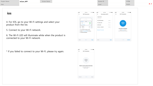| <b>Project Name</b> | loCare_APP | Screen Name | Screen ID | 수정일 |     |
|---------------------|------------|-------------|-----------|-----|-----|
| Path                |            |             | Level     | 작성자 | . . |
|                     |            |             |           |     |     |

#### **ios**

- 4. For IOS, go to your Wi-Fi settings and select your product from the list.
- 5. Connect to your Wi-Fi network.
- 6. The Wi-Fi LED will illuminate white when the product is connected to your Wi-Fi network.

| all <sup>*</sup>           | 9:41 AM                                                                  | * 100%                      | all <sup>*</sup> | 9:41 AM               | * 100%        | 調査 | 9:41 AM                            | \$100% |
|----------------------------|--------------------------------------------------------------------------|-----------------------------|------------------|-----------------------|---------------|----|------------------------------------|--------|
| $\leftarrow$               | Wi-Fi Connection                                                         |                             | $\leftarrow$     | Connecting to Wi-Fi   |               | ←  | Wi-Fi Connection                   |        |
|                            |                                                                          |                             | Check Wi-Fi      |                       |               |    |                                    |        |
|                            | $\circ$<br>$\sim$                                                        |                             | Select network   |                       |               |    |                                    |        |
|                            | < Settings<br>W-Fi                                                       |                             |                  | SK_WiFiGIGA0000       | A ⇔ v         |    |                                    |        |
|                            | WHF1                                                                     | €                           | KT_GiGA_0001     |                       | $A \otimes v$ |    |                                    |        |
|                            | $\backsim$ Airmega 400S<br>CHOOSE A NETWORK.                             | $a = 0$                     | iptime-print     |                       | A w v         |    | ٥                                  |        |
|                            | Network 1                                                                | $a = 0$                     |                  | WiFi_5G_12345678      | $A \otimes v$ |    |                                    |        |
|                            | Network 2                                                                | $\bullet$ $\bullet$ $\circ$ |                  |                       |               |    | Connection Completed.              |        |
| $\circ$                    | Go to the Wi-Fi settings screen.                                         |                             |                  | Setting Wi-Fi network |               |    | With the chime sound.              |        |
| $\left( \mathbf{2}\right)$ | Select a Airmega 400S to connect.<br><sup>3</sup> Press the next button. |                             |                  |                       |               |    | the WHFI LED will be lit up white. |        |
|                            |                                                                          |                             |                  |                       |               |    |                                    |        |
|                            |                                                                          |                             |                  |                       |               |    |                                    |        |
|                            |                                                                          |                             |                  |                       |               |    |                                    |        |
|                            |                                                                          |                             |                  |                       |               |    |                                    |        |

\* If you failed to connect to your Wi-Fi, please try again.

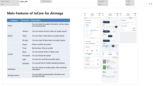| <b>Project Name</b> | loCare_APP | <b>Screen Name</b> | Screen ID | 수정일 |      |
|---------------------|------------|--------------------|-----------|-----|------|
| Path                |            |                    | Level     | 작성자 | r. u |
|                     |            |                    |           |     |      |

### **Main Features of IoCare for Airmega**

| <b>Category</b> | <b>Function</b> | <b>Description</b>                                                            |
|-----------------|-----------------|-------------------------------------------------------------------------------|
| Home            |                 | You can check Air quality information, product status<br>and remaining filter |
|                 | 24hours         | You can receive 24-hour indoor air quality reports.                           |
| Report          | 7days           | You can check 7-day indoor air quality reports                                |
|                 | 30 days         | You can check 30-day Indoor air quality reports                               |
|                 | Power           | Power on/off the air purifier                                                 |
|                 | Timer           | Set the timer of the air purifier                                             |
|                 | Mode            | You can choose Smart or Sleep mode                                            |
| Control         | Fan speed       | You can choose fan speed                                                      |
|                 | Light           | You can turn on/off the air purifier lights                                   |
|                 | Schedule        | You can set the Air Purifier operating schedule                               |
| Notification    |                 | You can receive air quality status, filter remaining<br>information           |
| Manage product  |                 | You can check remaining filter information and<br>purchase the filter.        |